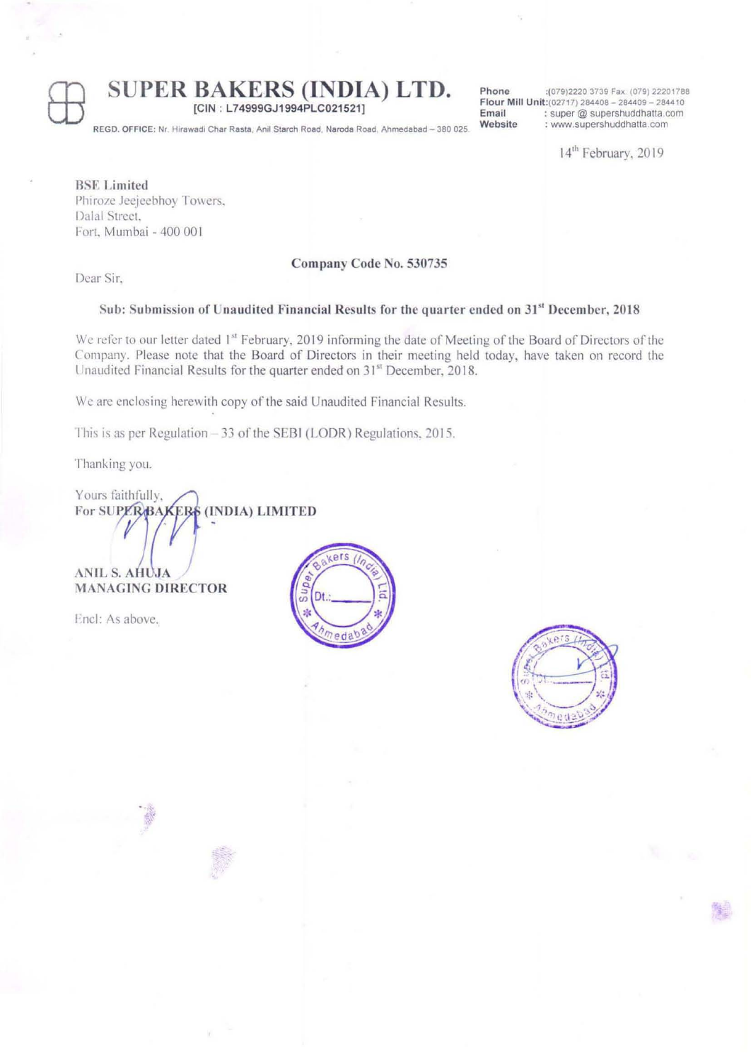### **SUPER BAKERS (INDIA) LTD.**

[CIN : L74999GJ1994PLC021521]

**Phone :(079)22203739 Fax (079) 22201788 Flour Mill Unit:(02717) 284408 - 284409 - 2844 to Email** : super @ supershuddhatta.com<br> **Website** : www.supershuddhatta.com **Website : www.supershuddhatla.com** 

14<sup>th</sup> February, 2019

**REGD. OFFICE: Nr Hlrawadi Char Rasta . Anll Starch Road. Naroda Road Ahmedabad - 380 025** 

**BSE** Limited Phiroze Jeejeebhoy Towers. Dalal Street. Fort, Mumbai - 400 001

#### Company Code No. 530735

Dcar Sir.

### Sub: Submission of Unandited Financial Results for the quarter ended on 31" December, 2018

We refer to our letter dated 1<sup>st</sup> February, 2019 informing the date of Meeting of the Board of Directors of the Company. Please note that the Board of Directors in their meeting held loday, have laken on record the Unaudited Financial Results for the quarter ended on 31<sup>st</sup> December, 2018.

We are enclosing herewith copy of the said Unaudited Financial Results.

This is as per Regulation  $-33$  of the SEBI (LODR) Regulations, 2015.

Thanking you.

Yours faithfully. (IND IA) **LIMITED**  For SUPERBAKERS

**ANIL S. AHUJA MANAGING DIRECTOR** 

Encl: As above.



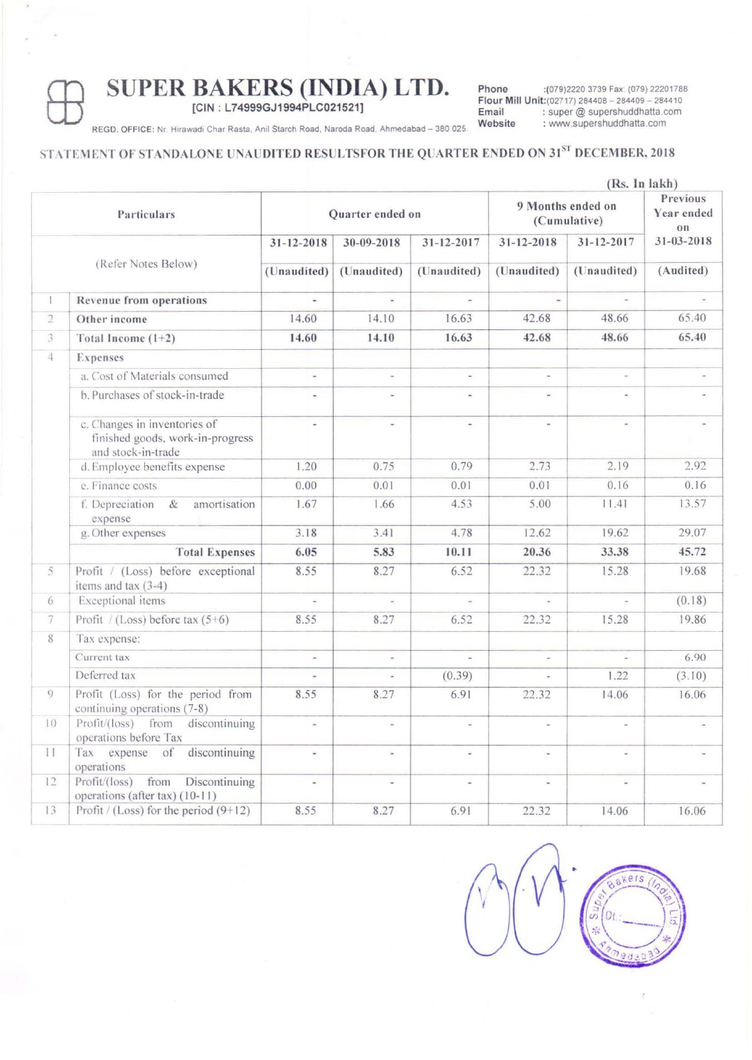# **SUPER BAKERS (INDIA) LTD.**<br>
REGD. OFFICE: Nr. Hirawadi Char Rasta, Anil Starch Road, Naroda Road, Ahmedabad – 380 0

[CIN : L74999GJ1994PLC021521]

**Phone :(079)22203739 FaX" (079) 22201788 Flour Mill Unit:(02717) 284408 - 284409 - 284410**  Email : super @ supershuddhatta.com<br>Website : www.supershuddhatta.com **Website : W'MY,supershuddhatta com** 

**REGD. OFFICE: Nr. Hirawadi Char Rasta, Anil Starch Road, Naroda Road, Ahmedabad - 380 025** 

### STATEMENT OF STANDALONE UNAUDITED RESULTSFOR THE QUARTER ENDED ON 31<sup>ST</sup> DECEMBER, 2018

|                     |                                                                                        | (Rs. In lakh)                                |                           |                                 |                                   |                           |                                   |  |
|---------------------|----------------------------------------------------------------------------------------|----------------------------------------------|---------------------------|---------------------------------|-----------------------------------|---------------------------|-----------------------------------|--|
| Particulars         |                                                                                        | Quarter ended on                             |                           |                                 | 9 Months ended on<br>(Cumulative) |                           | Previous<br>Year ended<br>$_{0n}$ |  |
| (Refer Notes Below) |                                                                                        | 31-12-2018                                   | 30-09-2018<br>(Unaudited) | $31 - 12 - 2017$<br>(Unaudited) | $31 - 12 - 2018$<br>(Unaudited)   | 31-12-2017<br>(Unaudited) | 31-03-2018<br>(Audited)           |  |
|                     |                                                                                        | (Unaudited)                                  |                           |                                 |                                   |                           |                                   |  |
| $\mathbb{I}$        | Revenue from operations                                                                | ×,                                           | ÷                         | $\omega$                        |                                   | ä,                        | u,                                |  |
| $\overline{2}$      | Other income                                                                           | 14.60                                        | 14.10                     | 16.63                           | 42.68                             | 48.66                     | 65.40                             |  |
| 3                   | Total Income $(1+2)$                                                                   | 14.60                                        | 14.10                     | 16.63                           | 42.68                             | 48.66                     | 65.40                             |  |
| 4                   | Expenses                                                                               |                                              |                           |                                 |                                   |                           |                                   |  |
|                     | a. Cost of Materials consumed                                                          | $\omega_{\rm c}$                             | s.                        | $\omega^{\prime}$               |                                   | $\omega$                  | $\sim$                            |  |
|                     | b. Purchases of stock-in-trade                                                         | $\overline{a}$                               | $\blacksquare$            | $\sim$                          | ÷                                 | $\omega$                  |                                   |  |
|                     | c. Changes in inventories of<br>finished goods, work-in-progress<br>and stock-in-trade | $\frac{1}{2}$                                |                           |                                 |                                   | $\bar{a}$                 |                                   |  |
|                     | d. Employee benefits expense                                                           | 1.20                                         | 0.75                      | 0.79                            | 2.73                              | 2.19                      | 2.92                              |  |
|                     | e. Finance costs                                                                       | 0.00                                         | 0.01                      | 0.01                            | 0.01                              | 0.16                      | 0.16                              |  |
|                     | f. Depreciation &<br>amortisation<br>expense                                           | 1.67                                         | 1.66                      | 4.53                            | 5.00                              | 11.41                     | 13.57                             |  |
|                     | g. Other expenses                                                                      | 3.18                                         | 3.41                      | 4.78                            | 12.62                             | 19.62                     | 29.07                             |  |
|                     | <b>Total Expenses</b>                                                                  | 6.05                                         | 5.83                      | 10.11                           | 20.36                             | 33.38                     | 45.72                             |  |
| 5                   | Profit / (Loss) before exceptional<br>items and tax $(3-4)$                            | 8.55                                         | 8.27                      | 6.52                            | 22.32                             | 15.28                     | 19.68                             |  |
| 6.                  | Exceptional items                                                                      | $\frac{1}{2}$                                | $\sim$                    | $\omega_{\rm c}$                |                                   | $\overline{\phantom{a}}$  | (0.18)                            |  |
| 7                   | Profit / (Loss) before tax $(5+6)$                                                     | 8.55                                         | 8.27                      | 6.52                            | 22.32                             | 15.28                     | 19.86                             |  |
| 8                   | Tax expense:                                                                           |                                              |                           |                                 |                                   |                           |                                   |  |
|                     | Current tax                                                                            | w.                                           | $\sim$                    | ÷.                              |                                   | w.                        | 6.90                              |  |
|                     | Deferred tax                                                                           |                                              |                           | (0.39)                          |                                   | 1.22                      | (3.10)                            |  |
| 9                   | Profit (Loss) for the period from<br>continuing operations (7-8)                       | 8.55                                         | 8.27                      | 6.91                            | 22.32                             | 14.06                     | 16.06                             |  |
| 10                  | Profit/(loss) from discontinuing<br>operations before Tax                              | $\overline{\phantom{a}}$                     | $\omega$                  | $\mathbf{\bar{u}}_i$            | ж.                                | $\omega$ .                | ÷                                 |  |
| 11                  | Tax expense of discontinuing<br>operations                                             | $\left\langle \hat{\mathbf{r}}\right\rangle$ | W.                        | $\equiv$                        | ú.                                | Q)                        | $\overline{\phantom{a}}$          |  |
| 12                  | Profit/(loss) from<br>Discontinuing<br>operations (after tax) (10-11)                  | $\bar{\omega}$                               |                           | $\overline{\phantom{a}}$        |                                   | $\sim$                    |                                   |  |
| 13                  | Profit / (Loss) for the period $(9+12)$                                                | 8.55                                         | 8.27                      | 6.91                            | 22.32                             | 14.06                     | 16.06                             |  |

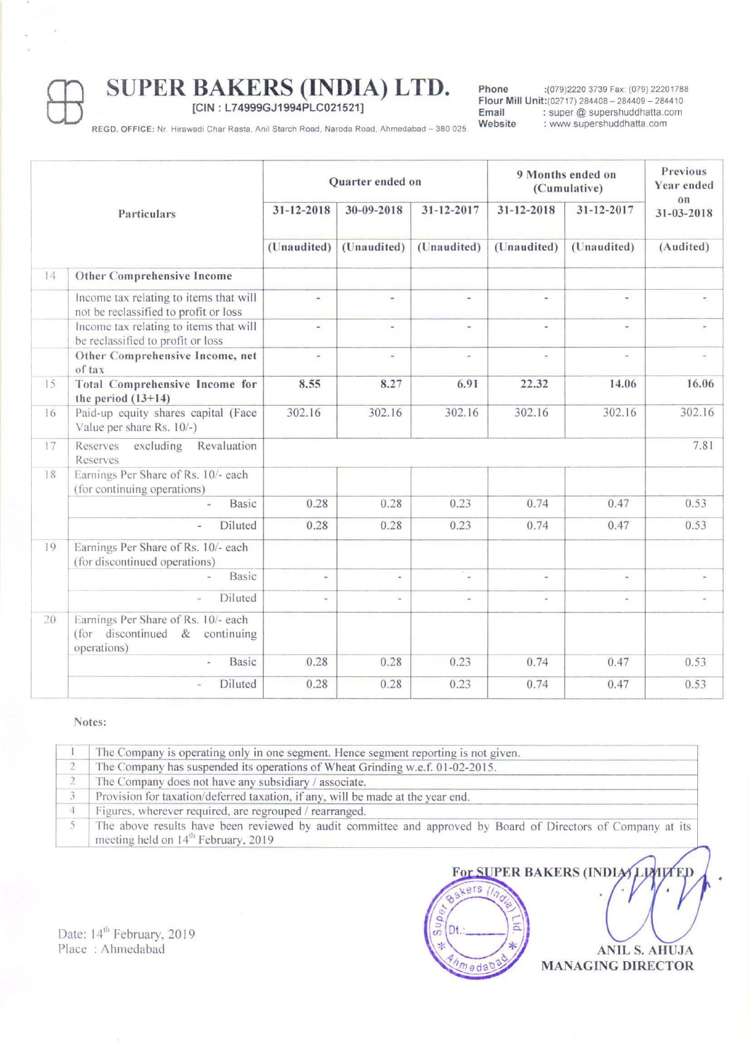# SUPER BAKERS (INDIA) LTD.<br>
FREGD. OFFICE: Nr. Hirawadi Char Rasta, Anil Starch Road, Naroda Road, Ahmedabad – 380 0

[CIN : L74999GJ1994PLC021521]

Phone :(079)2220 3739 Fax: (079) 22201788 Flour Mill Unit:(02717) 284408 - 284409 - 284410<br>Email : super @ supershuddhatta.com Email : super@supershuddhatta.com<br>Website : www.supershuddhatta.com : www.supershuddhatta.com

REGD. OFFICE: Nr. Hirawadi Char Rasta, Anil Starch Road, Naroda Road, Ahmedabad - 380 025.

|    |                                                                                            | Quarter ended on          |                           |                           | 9 Months ended on<br>(Cumulative) |                           | Previous<br>Year ended        |
|----|--------------------------------------------------------------------------------------------|---------------------------|---------------------------|---------------------------|-----------------------------------|---------------------------|-------------------------------|
|    | Particulars                                                                                | 31-12-2018<br>(Unaudited) | 30-09-2018<br>(Unaudited) | 31-12-2017<br>(Unaudited) | 31-12-2018<br>(Unaudited)         | 31-12-2017<br>(Unaudited) | on<br>31-03-2018<br>(Audited) |
|    |                                                                                            |                           |                           |                           |                                   |                           |                               |
| 14 | Other Comprehensive Income                                                                 |                           |                           |                           |                                   |                           |                               |
|    | Income tax relating to items that will<br>not be reclassified to profit or loss            | $\sim$                    | $\overline{\phantom{a}}$  | $\overline{\phantom{a}}$  | $\overline{\phantom{0}}$          | $\overline{\phantom{a}}$  | $\overline{\phantom{a}}$      |
|    | Income tax relating to items that will<br>be reclassified to profit or loss                | $\overline{\phantom{a}}$  | $\overline{\phantom{a}}$  | $\overline{\phantom{a}}$  | $\overline{\phantom{a}}$          | $\overline{\phantom{a}}$  | $\blacksquare$                |
|    | Other Comprehensive Income, net<br>of tax                                                  | $\overline{\mathbf{r}}$   | $\overline{a}$            | $\overline{\phantom{a}}$  | $\overline{\phantom{a}}$          | $\overline{\phantom{a}}$  | $\overline{\phantom{a}}$      |
| 15 | Total Comprehensive Income for<br>the period $(13+14)$                                     | 8.55                      | 8.27                      | 6.91                      | 22.32                             | 14.06                     | 16.06                         |
| 16 | Paid-up equity shares capital (Face<br>Value per share Rs. 10/-)                           | 302.16                    | 302.16                    | 302.16                    | 302.16                            | 302.16                    | 302.16                        |
| 17 | Revaluation<br>excluding<br>Reserves<br>Reserves                                           |                           |                           |                           |                                   |                           | 7.81                          |
| 18 | Earnings Per Share of Rs. 10/- each<br>(for continuing operations)                         |                           |                           |                           |                                   |                           |                               |
|    | Basic                                                                                      | 0.28                      | 0.28                      | 0.23                      | 0.74                              | 0.47                      | 0.53                          |
|    | Diluted                                                                                    | 0.28                      | 0.28                      | 0.23                      | 0.74                              | 0.47                      | 0.53                          |
| 19 | Earnings Per Share of Rs. 10/- each<br>(for discontinued operations)                       |                           |                           |                           |                                   |                           |                               |
|    | Basic                                                                                      | $\overline{\phantom{a}}$  | $\overline{\phantom{a}}$  | $\overline{\phantom{a}}$  | $\overline{\phantom{a}}$          | $\overline{\phantom{0}}$  |                               |
|    | Diluted<br>$\overline{\phantom{a}}$                                                        | $\sim$                    | $\ddot{\phantom{1}}$      | $\overline{\phantom{a}}$  | $\overline{\phantom{a}}$          | $\overline{\phantom{a}}$  |                               |
| 20 | Earnings Per Share of Rs. 10/- each<br>(for discontinued $\&$<br>continuing<br>operations) |                           |                           |                           |                                   |                           |                               |
|    | Basic                                                                                      | 0.28                      | 0.28                      | 0.23                      | 0.74                              | 0.47                      | 0.53                          |
|    | Diluted                                                                                    | 0.28                      | 0.28                      | 0.23                      | 0.74                              | 0.47                      | 0.53                          |

#### Notes:

| The Company is operating only in one segment. Hence segment reporting is not given.                                                                             |  |  |  |
|-----------------------------------------------------------------------------------------------------------------------------------------------------------------|--|--|--|
| The Company has suspended its operations of Wheat Grinding w.e.f. 01-02-2015.                                                                                   |  |  |  |
| The Company does not have any subsidiary / associate.                                                                                                           |  |  |  |
| Provision for taxation/deferred taxation, if any, will be made at the year end.                                                                                 |  |  |  |
| Figures, wherever required, are regrouped / rearranged.                                                                                                         |  |  |  |
| The above results have been reviewed by audit committee and approved by Board of Directors of Company at its<br>meeting held on 14 <sup>th</sup> February, 2019 |  |  |  |
|                                                                                                                                                                 |  |  |  |



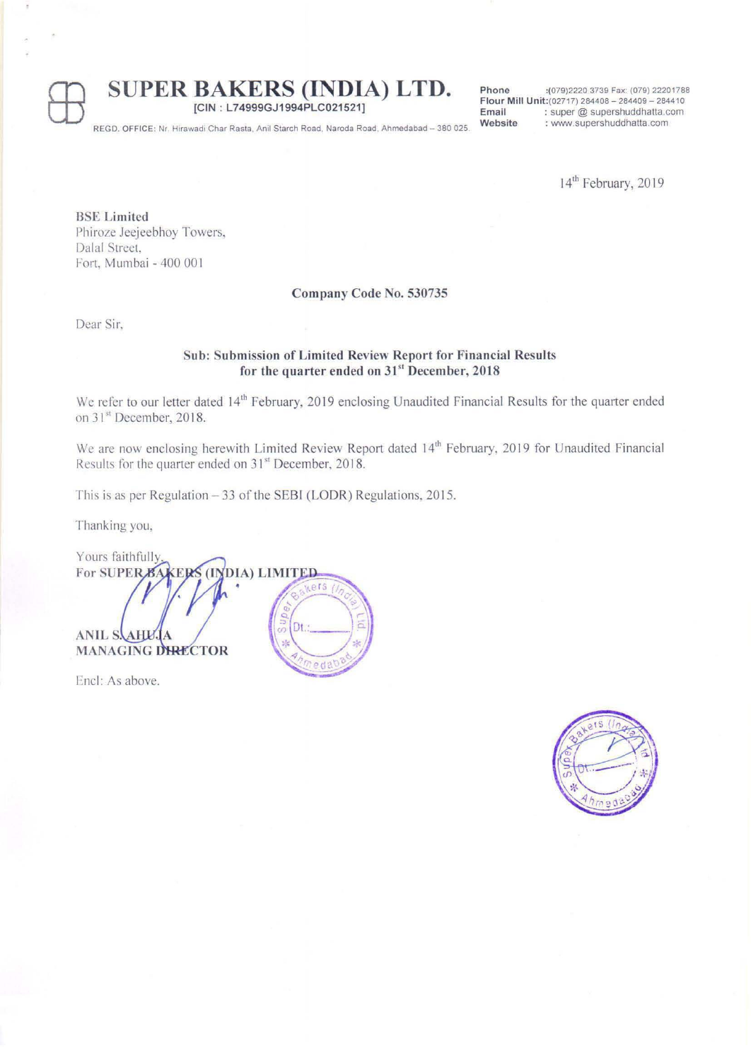## **SUPER BAKERS (INDIA) LTD.**<br>
REGD. OFFICE: Nr. Hirawadi Char Rasta, Anil Starch Road, Naroda Road, Ahmedabad – 380 0

[CIN : L74999GJ1994PLC021521]

**Phone** : (079)2220 3739 Fax: (079) 22201788 **Flour Mill Unit:(02717) 284408 - 284409 - 284410 Email** : super @ supershuddhatta.com<br> **Website** : www.supershuddhatta.com **Website : WINW.supershuddhatta.com** 

**REGD. OFFICE: Nr. Hirawadi Char Rasta, Anil Starch Road, Naroda Road, Ahmedabad - 380 025.** 

14<sup>th</sup> February, 2019

**BSE** Limited Phiroze Jeejeebhoy Towers, Dalal Street. Fort, Mumbai - 400 001

#### Company Code No. 530735

Dear Sir.

### Sub: Submission of Limited Review Report for Financial Results for the quarter ended on 31<sup>st</sup> December, 2018

We refer to our letter dated 14<sup>th</sup> February, 2019 enclosing Unaudited Financial Results for the quarter ended on 31<sup>st</sup> December, 2018.

We are now enclosing herewith Limited Review Report dated 14<sup>th</sup> February, 2019 for Unaudited Financial Results for the quarter ended on 31<sup>st</sup> December, 2018.

This is as per Regulation  $-33$  of the SEBI (LODR) Regulations, 2015.

Thanking you,

Yours faithfully For SUPER<sub>B</sub> (INDIA) LIMITED **ERS** Dt **ANIL S.** A HV. **MANAGING DIRECTOR** 

Encl: As above.